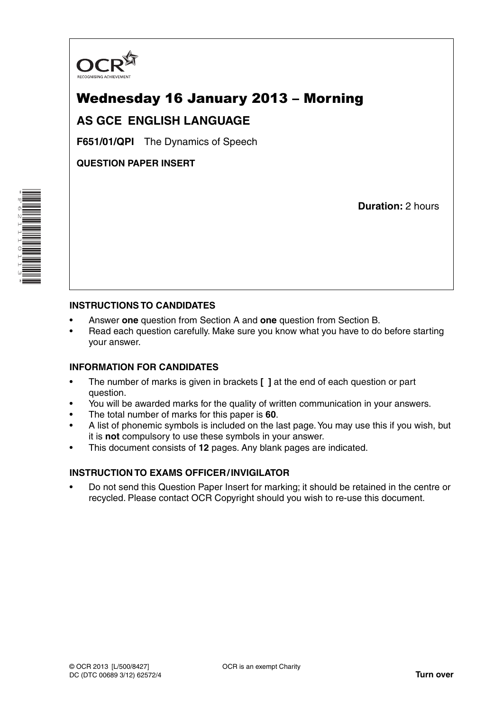

# Wednesday 16 January 2013 – Morning

## **AS GCE ENGLISH LANGUAGE**

**F651/01/QPI** The Dynamics of Speech

**QUESTION PAPER INSERT**

**Duration:** 2 hours



### **INSTRUCTIONS TO CANDIDATES**

- Answer **one** question from Section A and **one** question from Section B.
- Read each question carefully. Make sure you know what you have to do before starting your answer.

#### **INFORMATION FOR CANDIDATES**

- The number of marks is given in brackets **[ ]** at the end of each question or part question.
- You will be awarded marks for the quality of written communication in your answers.
- The total number of marks for this paper is **60**.
- A list of phonemic symbols is included on the last page. You may use this if you wish, but it is **not** compulsory to use these symbols in your answer.
- This document consists of **12** pages. Any blank pages are indicated.

#### **INSTRUCTION TO EXAMS OFFICER / INVIGILATOR**

• Do not send this Question Paper Insert for marking; it should be retained in the centre or recycled. Please contact OCR Copyright should you wish to re-use this document.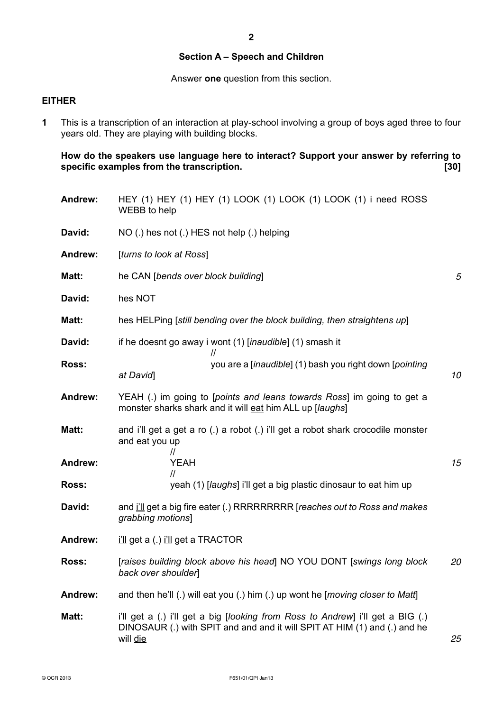#### **Section A – Speech and Children**

Answer **one** question from this section.

#### **EITHER**

**1** This is a transcription of an interaction at play-school involving a group of boys aged three to four years old. They are playing with building blocks.

 **How do the speakers use language here to interact? Support your answer by referring to specific examples from the transcription.** [30]

| <b>Andrew:</b> | HEY (1) HEY (1) HEY (1) LOOK (1) LOOK (1) LOOK (1) i need ROSS<br>WEBB to help                                                                                          |    |
|----------------|-------------------------------------------------------------------------------------------------------------------------------------------------------------------------|----|
| David:         | NO (.) hes not (.) HES not help (.) helping                                                                                                                             |    |
| Andrew:        | [turns to look at Ross]                                                                                                                                                 |    |
| Matt:          | he CAN [bends over block building]                                                                                                                                      | 5  |
| David:         | hes NOT                                                                                                                                                                 |    |
| Matt:          | hes HELPing [still bending over the block building, then straightens up]                                                                                                |    |
| David:         | if he doesnt go away i wont (1) [inaudible] (1) smash it<br>$^{\prime\prime}$                                                                                           |    |
| <b>Ross:</b>   | you are a [inaudible] (1) bash you right down [pointing<br>at David                                                                                                     | 10 |
| Andrew:        | YEAH (.) im going to [points and leans towards Ross] im going to get a<br>monster sharks shark and it will eat him ALL up [laughs]                                      |    |
| Matt:          | and i'll get a get a ro (.) a robot (.) i'll get a robot shark crocodile monster<br>and eat you up                                                                      |    |
| <b>Andrew:</b> | <b>YEAH</b><br>$^{\prime\prime}$                                                                                                                                        | 15 |
| <b>Ross:</b>   | yeah (1) [laughs] i'll get a big plastic dinosaur to eat him up                                                                                                         |    |
| David:         | and i'll get a big fire eater (.) RRRRRRRRR [reaches out to Ross and makes<br>grabbing motions]                                                                         |    |
| Andrew:        | i'll get a (.) i'll get a TRACTOR                                                                                                                                       |    |
| <b>Ross:</b>   | [raises building block above his head] NO YOU DONT [swings long block<br>back over shoulder]                                                                            | 20 |
| Andrew:        | and then he'll (.) will eat you (.) him (.) up wont he [moving closer to Matt]                                                                                          |    |
| Matt:          | i'll get a (.) i'll get a big [looking from Ross to Andrew] i'll get a BIG (.)<br>DINOSAUR (.) with SPIT and and and it will SPIT AT HIM (1) and (.) and he<br>will die | 25 |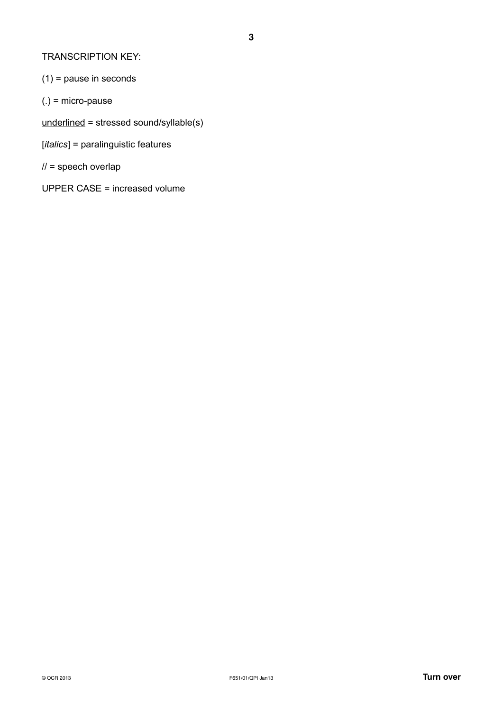#### TRANSCRIPTION KEY:

- (1) = pause in seconds
- (.) = micro-pause
- underlined = stressed sound/syllable(s)
- [*italics*] = paralinguistic features
- $1/1$  = speech overlap
- UPPER CASE = increased volume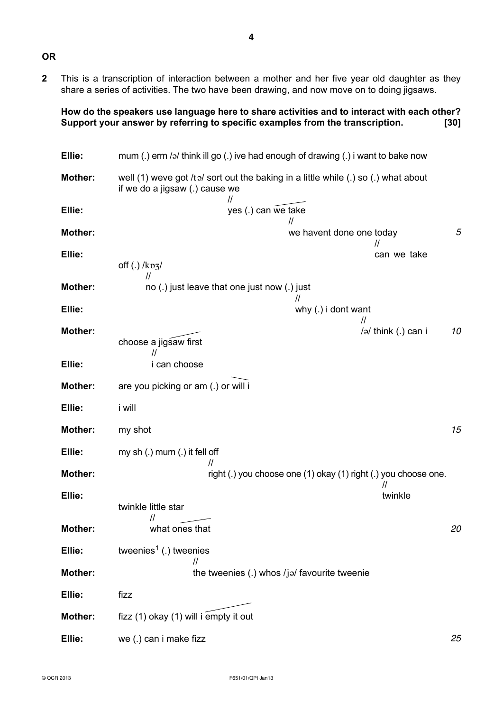**OR**

**2** This is a transcription of interaction between a mother and her five year old daughter as they share a series of activities. The two have been drawing, and now move on to doing jigsaws.

 **How do the speakers use language here to share activities and to interact with each other? Support your answer by referring to specific examples from the transcription. [30]**

| Ellie:         | mum (.) erm /a/ think ill go (.) ive had enough of drawing (.) i want to bake now                                    |    |
|----------------|----------------------------------------------------------------------------------------------------------------------|----|
| <b>Mother:</b> | well (1) weve got /ta/ sort out the baking in a little while (.) so (.) what about<br>if we do a jigsaw (.) cause we |    |
| Ellie:         | 11<br>yes (.) can we take                                                                                            |    |
|                | $^{\prime\prime}$                                                                                                    |    |
| <b>Mother:</b> | we havent done one today                                                                                             | 5  |
| Ellie:         | //<br>can we take<br>off $(.)$ / $k$ $\nu$ 3/                                                                        |    |
| <b>Mother:</b> | $^{\prime\prime}$<br>no (.) just leave that one just now (.) just<br>$\mathcal{U}$                                   |    |
| Ellie:         | why (.) i dont want<br>$^{\prime\prime}$                                                                             |    |
| <b>Mother:</b> | /ə/ think (.) can i<br>choose a jigsaw first                                                                         | 10 |
| Ellie:         | i can choose                                                                                                         |    |
| <b>Mother:</b> | are you picking or am (.) or will i                                                                                  |    |
| Ellie:         | i will                                                                                                               |    |
| <b>Mother:</b> | my shot                                                                                                              | 15 |
| Ellie:         | my sh (.) mum (.) it fell off<br>$^{\prime\prime}$                                                                   |    |
| <b>Mother:</b> | right (.) you choose one (1) okay (1) right (.) you choose one.                                                      |    |
| Ellie:         | 11<br>twinkle<br>twinkle little star                                                                                 |    |
| <b>Mother:</b> | //<br>what ones that                                                                                                 | 20 |
| Ellie:         | tweenies <sup>1</sup> (.) tweenies<br>$\prime\prime$                                                                 |    |
| <b>Mother:</b> | the tweenies (.) whos /ja/ favourite tweenie                                                                         |    |
| Ellie:         | fizz                                                                                                                 |    |
| <b>Mother:</b> | fizz (1) okay (1) will i empty it out                                                                                |    |
| Ellie:         | we (.) can i make fizz                                                                                               | 25 |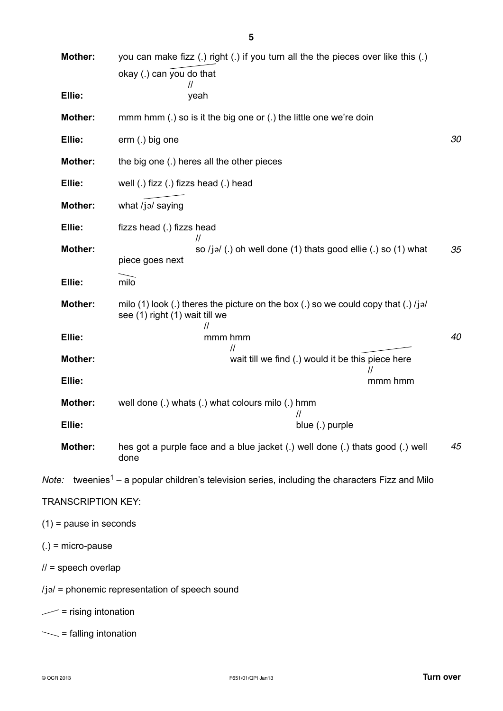| <b>Mother:</b>                                                  | you can make fizz (.) right (.) if you turn all the the pieces over like this (.)<br>okay (.) can you do that<br>$\mathcal{U}$                |    |  |
|-----------------------------------------------------------------|-----------------------------------------------------------------------------------------------------------------------------------------------|----|--|
| Ellie:                                                          | yeah                                                                                                                                          |    |  |
| <b>Mother:</b>                                                  | mmm hmm $(.)$ so is it the big one or $(.)$ the little one we're doin                                                                         |    |  |
| Ellie:                                                          | erm (.) big one                                                                                                                               | 30 |  |
| <b>Mother:</b>                                                  | the big one (.) heres all the other pieces                                                                                                    |    |  |
| Ellie:                                                          | well (.) fizz (.) fizzs head (.) head                                                                                                         |    |  |
| <b>Mother:</b>                                                  | what /ja/ saying                                                                                                                              |    |  |
| Ellie:                                                          | fizzs head (.) fizzs head<br>$^{\prime\prime}$                                                                                                |    |  |
| <b>Mother:</b>                                                  | so $/j \rightarrow$ (.) oh well done (1) thats good ellie (.) so (1) what<br>piece goes next                                                  | 35 |  |
| Ellie:                                                          | milo                                                                                                                                          |    |  |
| <b>Mother:</b>                                                  | milo (1) look (.) theres the picture on the box (.) so we could copy that (.) $/j\varphi$<br>see (1) right (1) wait till we<br>$\prime\prime$ |    |  |
| Ellie:                                                          | mmm hmm<br>$^{\prime\prime}$                                                                                                                  | 40 |  |
| <b>Mother:</b>                                                  | wait till we find (.) would it be this piece here<br>11                                                                                       |    |  |
| Ellie:                                                          | mmm hmm                                                                                                                                       |    |  |
| <b>Mother:</b>                                                  | well done (.) whats (.) what colours milo (.) hmm<br>11                                                                                       |    |  |
| Ellie:                                                          | blue (.) purple                                                                                                                               |    |  |
| Mother:                                                         | hes got a purple face and a blue jacket (.) well done (.) thats good (.) well<br>done                                                         | 45 |  |
|                                                                 | <i>Note:</i> tweenies <sup>1</sup> – a popular children's television series, including the characters Fizz and Milo                           |    |  |
| <b>TRANSCRIPTION KEY:</b>                                       |                                                                                                                                               |    |  |
| $(1)$ = pause in seconds                                        |                                                                                                                                               |    |  |
| $(.) = micro-pause$                                             |                                                                                                                                               |    |  |
| $11$ = speech overlap                                           |                                                                                                                                               |    |  |
| $/j$ <sub>2</sub> $j$ = phonemic representation of speech sound |                                                                                                                                               |    |  |
| $\angle$ = rising intonation                                    |                                                                                                                                               |    |  |
| $\sim$ = falling intonation                                     |                                                                                                                                               |    |  |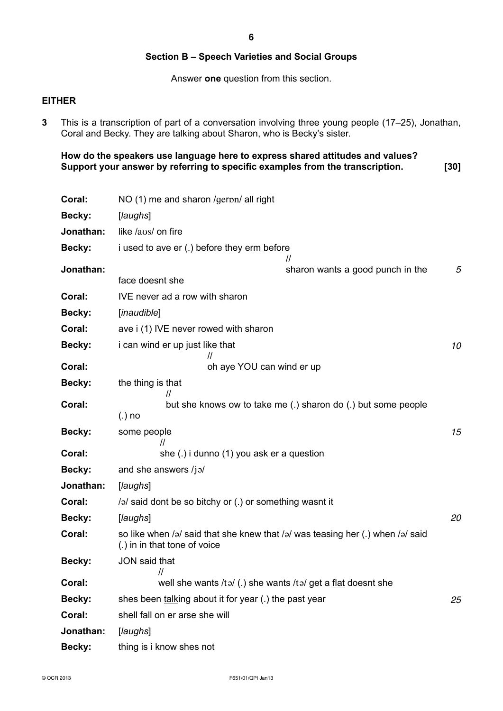#### **Section B – Speech Varieties and Social Groups**

Answer **one** question from this section.

#### **EITHER**

**3** This is a transcription of part of a conversation involving three young people (17–25), Jonathan, Coral and Becky. They are talking about Sharon, who is Becky's sister.

| How do the speakers use language here to express shared attitudes and values? |      |
|-------------------------------------------------------------------------------|------|
| Support your answer by referring to specific examples from the transcription. | [30] |

| Coral:    | NO (1) me and sharon /gerpn/ all right                                                                         |    |
|-----------|----------------------------------------------------------------------------------------------------------------|----|
| Becky:    | [laughs]                                                                                                       |    |
| Jonathan: | like /aus/ on fire                                                                                             |    |
| Becky:    | i used to ave er (.) before they erm before                                                                    |    |
|           |                                                                                                                |    |
| Jonathan: | sharon wants a good punch in the<br>face doesnt she                                                            | 5  |
| Coral:    | IVE never ad a row with sharon                                                                                 |    |
| Becky:    | [inaudible]                                                                                                    |    |
| Coral:    | ave i (1) IVE never rowed with sharon                                                                          |    |
| Becky:    | i can wind er up just like that                                                                                | 10 |
| Coral:    | $\mu$<br>oh aye YOU can wind er up                                                                             |    |
| Becky:    | the thing is that                                                                                              |    |
| Coral:    | $\mathcal{U}$<br>but she knows ow to take me (.) sharon do (.) but some people<br>$(.)$ no                     |    |
| Becky:    | some people<br>$^{\prime\prime}$                                                                               | 15 |
| Coral:    | she (.) i dunno (1) you ask er a question                                                                      |    |
| Becky:    | and she answers /ja/                                                                                           |    |
| Jonathan: | [laughs]                                                                                                       |    |
| Coral:    | /ə/ said dont be so bitchy or (.) or something wasnt it                                                        |    |
| Becky:    | [laughs]                                                                                                       | 20 |
| Coral:    | so like when /ə/ said that she knew that /ə/ was teasing her (.) when /ə/ said<br>(.) in in that tone of voice |    |
| Becky:    | JON said that                                                                                                  |    |
| Coral:    | well she wants $/t \rightarrow$ (.) she wants $/t \rightarrow$ get a flat doesnt she                           |    |
| Becky:    | shes been talking about it for year (.) the past year                                                          | 25 |
| Coral:    | shell fall on er arse she will                                                                                 |    |
| Jonathan: | [laughs]                                                                                                       |    |
| Becky:    | thing is i know shes not                                                                                       |    |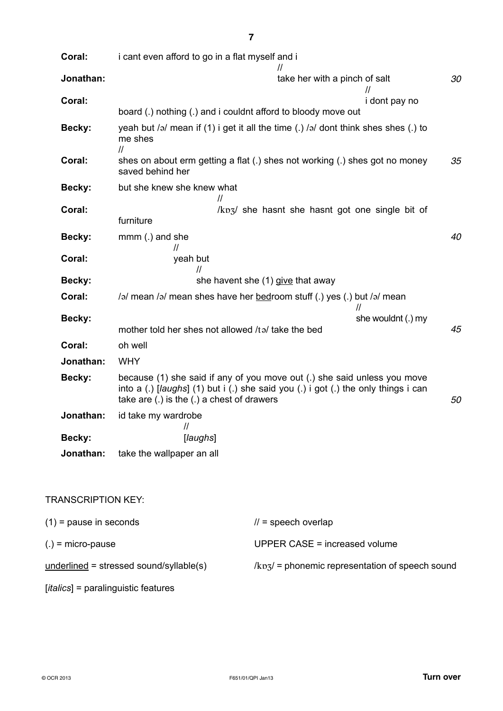| Coral:    | i cant even afford to go in a flat myself and i                                                                                                                                                                        |    |
|-----------|------------------------------------------------------------------------------------------------------------------------------------------------------------------------------------------------------------------------|----|
|           | 11                                                                                                                                                                                                                     |    |
| Jonathan: | take her with a pinch of salt<br>11                                                                                                                                                                                    | 30 |
| Coral:    | <i>i</i> dont pay no                                                                                                                                                                                                   |    |
|           | board (.) nothing (.) and i couldnt afford to bloody move out                                                                                                                                                          |    |
| Becky:    | yeah but /ə/ mean if (1) i get it all the time (.) /ə/ dont think shes shes (.) to<br>me shes<br>$^{\prime\prime}$                                                                                                     |    |
| Coral:    | shes on about erm getting a flat (.) shes not working (.) shes got no money<br>saved behind her                                                                                                                        | 35 |
| Becky:    | but she knew she knew what<br>$\mathcal{U}$                                                                                                                                                                            |    |
| Coral:    | /kpz/ she hasnt she hasnt got one single bit of<br>furniture                                                                                                                                                           |    |
| Becky:    | $mm(.)$ and she<br>$\mathcal{U}$                                                                                                                                                                                       | 40 |
| Coral:    | yeah but<br>$\prime$                                                                                                                                                                                                   |    |
| Becky:    | she havent she (1) give that away                                                                                                                                                                                      |    |
| Coral:    | Ial mean Ial mean shes have her bedroom stuff (.) yes (.) but Ial mean<br>$^{\prime\prime}$                                                                                                                            |    |
| Becky:    | she wouldnt (.) my                                                                                                                                                                                                     |    |
|           | mother told her shes not allowed /to/ take the bed                                                                                                                                                                     | 45 |
| Coral:    | oh well                                                                                                                                                                                                                |    |
| Jonathan: | <b>WHY</b>                                                                                                                                                                                                             |    |
| Becky:    | because (1) she said if any of you move out (.) she said unless you move<br>into a (.) [laughs] (1) but $i$ (.) she said you (.) $i$ got (.) the only things $i$ can<br>take are $(.)$ is the $(.)$ a chest of drawers | 50 |
| Jonathan: | id take my wardrobe                                                                                                                                                                                                    |    |
|           | [laughs]                                                                                                                                                                                                               |    |
| Becky:    |                                                                                                                                                                                                                        |    |

**7**

### $(1)$  = pause in seconds  $11$  = speech overlap

(.) = micro-pause underlined = stressed sound/syllable(s) UPPER CASE = increased volume  $/kp/2$  = phonemic representation of speech sound

[*italics*] = paralinguistic features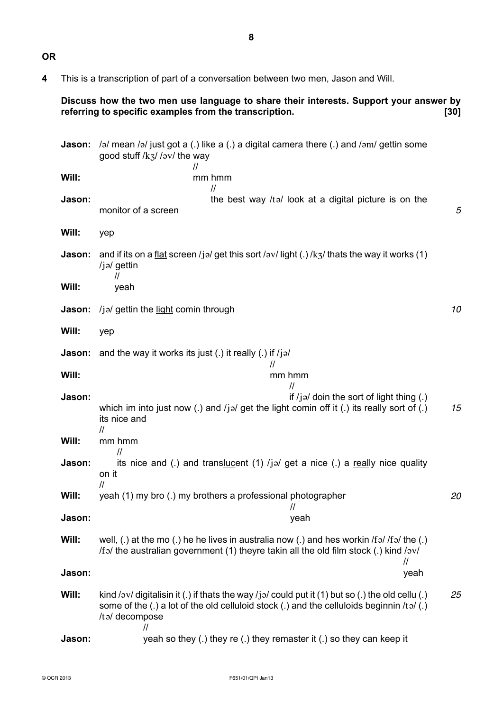**OR**

 **Discuss how the two men use language to share their interests. Support your answer by referring to specific examples from the transcription. [30]**

| Jason: | lal mean lal just got a (.) like a (.) a digital camera there (.) and laml gettin some<br>good stuff /k3/ /av/ the way<br>11                                                                                                                                    |    |
|--------|-----------------------------------------------------------------------------------------------------------------------------------------------------------------------------------------------------------------------------------------------------------------|----|
| Will:  | mm hmm                                                                                                                                                                                                                                                          |    |
| Jason: | $\mathcal{U}$<br>the best way /ta/ look at a digital picture is on the<br>monitor of a screen                                                                                                                                                                   | 5  |
| Will:  | yep                                                                                                                                                                                                                                                             |    |
| Jason: | and if its on a <u>flat</u> screen /jo/ get this sort /ov/ light (.) /kz/ thats the way it works (1)<br>/jə/ gettin<br>$^{\prime\prime}$                                                                                                                        |    |
| Will:  | yeah                                                                                                                                                                                                                                                            |    |
|        | <b>Jason:</b> /jə/ gettin the light comin through                                                                                                                                                                                                               | 10 |
| Will:  | yep                                                                                                                                                                                                                                                             |    |
|        | <b>Jason:</b> and the way it works its just (.) it really (.) if $/j \circ f$                                                                                                                                                                                   |    |
| Will:  | $\mathcal{U}$<br>mm hmm                                                                                                                                                                                                                                         |    |
| Jason: | //<br>if $/j \rightarrow$ doin the sort of light thing (.)<br>which im into just now (.) and $j$ j $j$ get the light comin off it (.) its really sort of (.)<br>its nice and                                                                                    | 15 |
| Will:  | $\mathcal{U}$<br>mm hmm<br>$\mathcal{U}$                                                                                                                                                                                                                        |    |
| Jason: | its nice and (.) and translucent (1) $/j \rightarrow$ get a nice (.) a really nice quality<br>on it<br>$\mathcal{U}$                                                                                                                                            |    |
| Will:  | yeah (1) my bro (.) my brothers a professional photographer                                                                                                                                                                                                     | 20 |
| Jason: | $\mathcal{U}$<br>yeah                                                                                                                                                                                                                                           |    |
| Will:  | well, (.) at the mo (.) he he lives in australia now (.) and hes workin /f a/ /f a/ the (.)<br>/fa/ the australian government (1) theyre takin all the old film stock (.) kind /av/<br>$\mathcal{U}$                                                            |    |
| Jason: | yeah                                                                                                                                                                                                                                                            |    |
| Will:  | kind / $\frac{1}{2}$ v/ digitalisin it (.) if thats the way /j $\frac{1}{2}$ could put it (1) but so (.) the old cellu (.)<br>some of the (.) a lot of the old celluloid stock (.) and the celluloids beginnin /t a/ (.)<br>/ta/ decompose<br>$^{\prime\prime}$ | 25 |
| Jason: | yeah so they (.) they re (.) they remaster it (.) so they can keep it                                                                                                                                                                                           |    |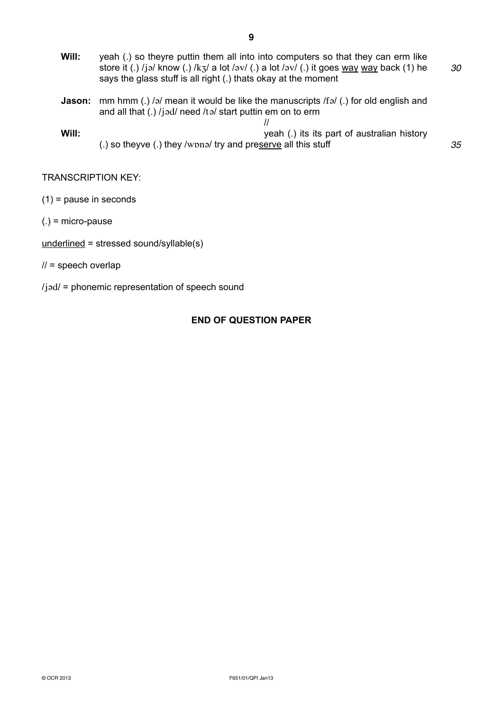- Will: yeah (.) so theyre puttin them all into into computers so that they can erm like store it (.) /jə/ know (.) /k $3/$  a lot /əv/ (.) a lot /əv/ (.) it goes way way back (1) he says the glass stuff is all right (.) thats okay at the moment *30*
- **Jason:** mm hmm (.) /ə/ mean it would be like the manuscripts /fə/ (.) for old english and and all that (.) /jəd/ need /tə/ start puttin em on to erm
- // **Will: Will: Will: Will:**  $y$ eah (.) its its part of australian history (.) so theyve (.) they /wɒnə/ try and preserve all this stuff

*35*

TRANSCRIPTION KEY:

(1) = pause in seconds

 $(.) =$  micro-pause

- underlined = stressed sound/syllable(s)
- $1/$  = speech overlap
- /jəd/ = phonemic representation of speech sound

#### **END OF QUESTION PAPER**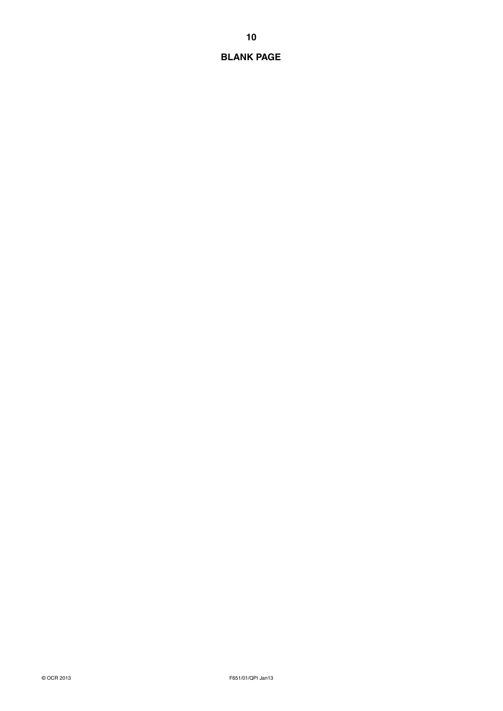#### **BLANK PAGE**

**10**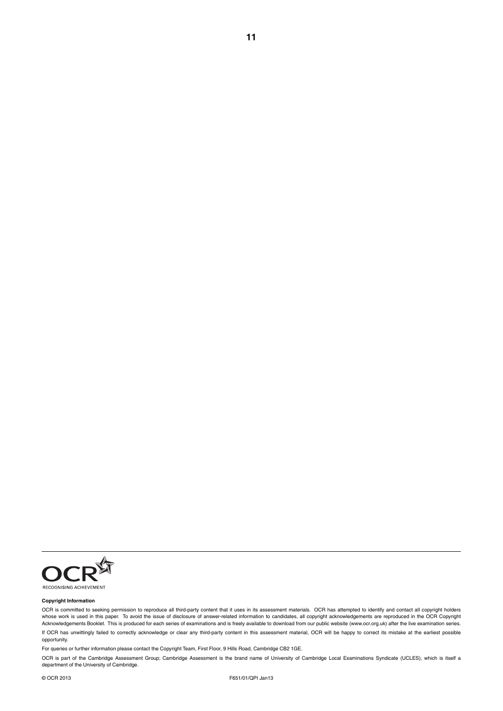

#### **Copyright Information**

OCR is committed to seeking permission to reproduce all third-party content that it uses in its assessment materials. OCR has attempted to identify and contact all copyright holders whose work is used in this paper. To avoid the issue of disclosure of answer-related information to candidates, all copyright acknowledgements are reproduced in the OCR Copyright Acknowledgements Booklet. This is produced for each series of examinations and is freely available to download from our public website (www.ocr.org.uk) after the live examination series. If OCR has unwittingly failed to correctly acknowledge or clear any third-party content in this assessment material, OCR will be happy to correct its mistake at the earliest possible opportunity.

For queries or further information please contact the Copyright Team, First Floor, 9 Hills Road, Cambridge CB2 1GE.

OCR is part of the Cambridge Assessment Group; Cambridge Assessment is the brand name of University of Cambridge Local Examinations Syndicate (UCLES), which is itself a department of the University of Cambridge.